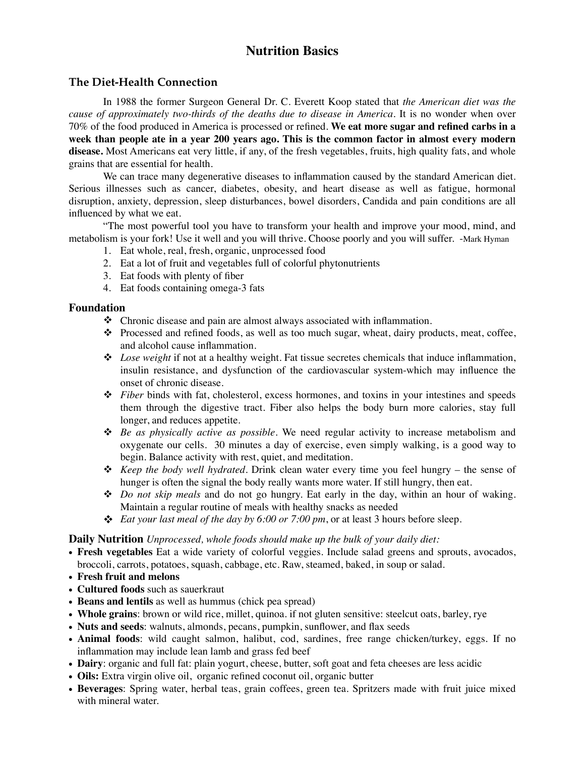# **Nutrition Basics**

## **The Diet-Health Connection**

In 1988 the former Surgeon General Dr. C. Everett Koop stated that *the American diet was the cause of approximately two-thirds of the deaths due to disease in America.* It is no wonder when over 70% of the food produced in America is processed or refined. **We eat more sugar and refined carbs in a week than people ate in a year 200 years ago. This is the common factor in almost every modern disease.** Most Americans eat very little, if any, of the fresh vegetables, fruits, high quality fats, and whole grains that are essential for health.

We can trace many degenerative diseases to inflammation caused by the standard American diet. Serious illnesses such as cancer, diabetes, obesity, and heart disease as well as fatigue, hormonal disruption, anxiety, depression, sleep disturbances, bowel disorders, Candida and pain conditions are all influenced by what we eat.

"The most powerful tool you have to transform your health and improve your mood, mind, and metabolism is your fork! Use it well and you will thrive. Choose poorly and you will suffer. -Mark Hyman

- 1. Eat whole, real, fresh, organic, unprocessed food
- 2. Eat a lot of fruit and vegetables full of colorful phytonutrients
- 3. Eat foods with plenty of fiber
- 4. Eat foods containing omega-3 fats

#### **Foundation**

- $\triangleleft$  Chronic disease and pain are almost always associated with inflammation.
- $\cdot \cdot$  Processed and refined foods, as well as too much sugar, wheat, dairy products, meat, coffee, and alcohol cause inflammation.
- ! *Lose weight* if not at a healthy weight. Fat tissue secretes chemicals that induce inflammation, insulin resistance, and dysfunction of the cardiovascular system-which may influence the onset of chronic disease.
- ! *Fiber* binds with fat, cholesterol, excess hormones, and toxins in your intestines and speeds them through the digestive tract. Fiber also helps the body burn more calories, stay full longer, and reduces appetite.
- ! *Be as physically active as possible.* We need regular activity to increase metabolism and oxygenate our cells. 30 minutes a day of exercise, even simply walking, is a good way to begin. Balance activity with rest, quiet, and meditation.
- ! *Keep the body well hydrated*. Drink clean water every time you feel hungry the sense of hunger is often the signal the body really wants more water. If still hungry, then eat.
- ! *Do not skip meals* and do not go hungry. Eat early in the day, within an hour of waking. Maintain a regular routine of meals with healthy snacks as needed
- $\div$  *Eat your last meal of the day by 6:00 or 7:00 pm*, or at least 3 hours before sleep.

#### **Daily Nutrition** *Unprocessed, whole foods should make up the bulk of your daily diet:*

- **Fresh vegetables** Eat a wide variety of colorful veggies. Include salad greens and sprouts, avocados, broccoli, carrots, potatoes, squash, cabbage, etc. Raw, steamed, baked, in soup or salad.
- **• Fresh fruit and melons**
- **Cultured foods** such as sauerkraut
- **Beans and lentils** as well as hummus (chick pea spread)
- **Whole grains**: brown or wild rice, millet, quinoa. if not gluten sensitive: steelcut oats, barley, rye
- **Nuts and seeds**: walnuts, almonds, pecans, pumpkin, sunflower, and flax seeds
- **Animal foods**: wild caught salmon, halibut, cod, sardines, free range chicken/turkey, eggs. If no inflammation may include lean lamb and grass fed beef
- **Dairy**: organic and full fat: plain yogurt, cheese, butter, soft goat and feta cheeses are less acidic
- **Oils:** Extra virgin olive oil, organic refined coconut oil, organic butter
- **Beverages**: Spring water, herbal teas, grain coffees, green tea. Spritzers made with fruit juice mixed with mineral water.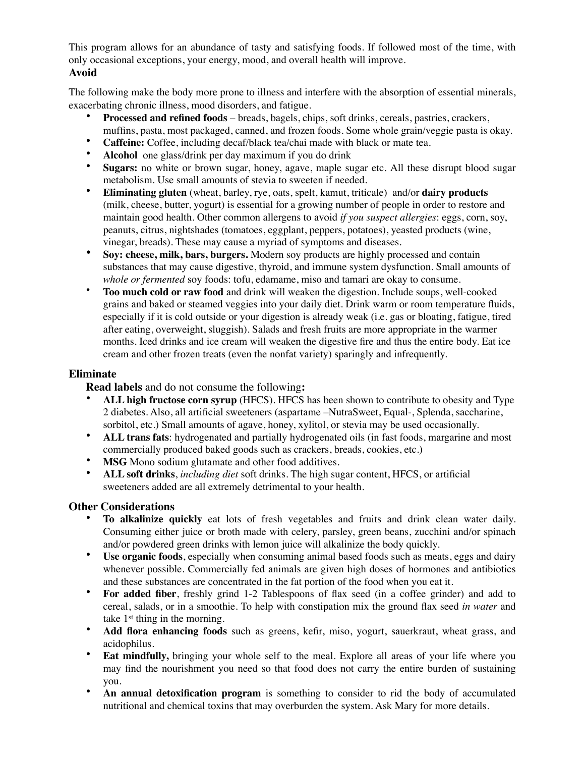This program allows for an abundance of tasty and satisfying foods. If followed most of the time, with only occasional exceptions, your energy, mood, and overall health will improve.

#### **Avoid**

The following make the body more prone to illness and interfere with the absorption of essential minerals, exacerbating chronic illness, mood disorders, and fatigue.

- **Processed and refined foods** breads, bagels, chips, soft drinks, cereals, pastries, crackers, muffins, pasta, most packaged, canned, and frozen foods. Some whole grain/veggie pasta is okay.
- **Caffeine:** Coffee, including decaf/black tea/chai made with black or mate tea.
- **Alcohol** one glass/drink per day maximum if you do drink
- **Sugars:** no white or brown sugar, honey, agave, maple sugar etc. All these disrupt blood sugar metabolism. Use small amounts of stevia to sweeten if needed.
- **Eliminating gluten** (wheat, barley, rye, oats, spelt, kamut, triticale) and/or **dairy products** (milk, cheese, butter, yogurt) is essential for a growing number of people in order to restore and maintain good health. Other common allergens to avoid *if you suspect allergies*: eggs, corn, soy, peanuts, citrus, nightshades (tomatoes, eggplant, peppers, potatoes), yeasted products (wine, vinegar, breads). These may cause a myriad of symptoms and diseases.
- **Soy: cheese, milk, bars, burgers.** Modern soy products are highly processed and contain substances that may cause digestive, thyroid, and immune system dysfunction. Small amounts of *whole or fermented* soy foods: tofu, edamame, miso and tamari are okay to consume.
- **Too much cold or raw food** and drink will weaken the digestion. Include soups, well-cooked grains and baked or steamed veggies into your daily diet. Drink warm or room temperature fluids, especially if it is cold outside or your digestion is already weak (i.e. gas or bloating, fatigue, tired after eating, overweight, sluggish). Salads and fresh fruits are more appropriate in the warmer months. Iced drinks and ice cream will weaken the digestive fire and thus the entire body. Eat ice cream and other frozen treats (even the nonfat variety) sparingly and infrequently.

## **Eliminate**

**Read labels** and do not consume the following**:**

- **ALL high fructose corn syrup** (HFCS). HFCS has been shown to contribute to obesity and Type 2 diabetes. Also, all artificial sweeteners (aspartame –NutraSweet, Equal-, Splenda, saccharine, sorbitol, etc.) Small amounts of agave, honey, xylitol, or stevia may be used occasionally.
- **ALL trans fats**: hydrogenated and partially hydrogenated oils (in fast foods, margarine and most commercially produced baked goods such as crackers, breads, cookies, etc.)
- **MSG** Mono sodium glutamate and other food additives.
- **ALL soft drinks**, *including diet* soft drinks. The high sugar content, HFCS, or artificial sweeteners added are all extremely detrimental to your health.

## **Other Considerations**

- **To alkalinize quickly** eat lots of fresh vegetables and fruits and drink clean water daily. Consuming either juice or broth made with celery, parsley, green beans, zucchini and/or spinach and/or powdered green drinks with lemon juice will alkalinize the body quickly.
- **Use organic foods**, especially when consuming animal based foods such as meats, eggs and dairy whenever possible. Commercially fed animals are given high doses of hormones and antibiotics and these substances are concentrated in the fat portion of the food when you eat it.
- **For added fiber**, freshly grind 1-2 Tablespoons of flax seed (in a coffee grinder) and add to cereal, salads, or in a smoothie. To help with constipation mix the ground flax seed *in water* and take 1st thing in the morning.
- **Add flora enhancing foods** such as greens, kefir, miso, yogurt, sauerkraut, wheat grass, and acidophilus.
- **Eat mindfully,** bringing your whole self to the meal. Explore all areas of your life where you may find the nourishment you need so that food does not carry the entire burden of sustaining you.
- **An annual detoxification program** is something to consider to rid the body of accumulated nutritional and chemical toxins that may overburden the system. Ask Mary for more details.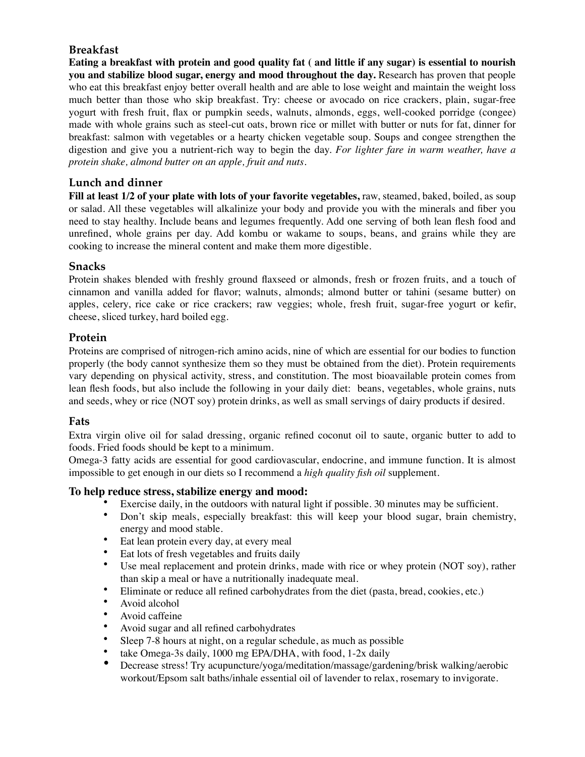# **Breakfast**

**Eating a breakfast with protein and good quality fat ( and little if any sugar) is essential to nourish you and stabilize blood sugar, energy and mood throughout the day.** Research has proven that people who eat this breakfast enjoy better overall health and are able to lose weight and maintain the weight loss much better than those who skip breakfast. Try: cheese or avocado on rice crackers, plain, sugar-free yogurt with fresh fruit, flax or pumpkin seeds, walnuts, almonds, eggs, well-cooked porridge (congee) made with whole grains such as steel-cut oats, brown rice or millet with butter or nuts for fat, dinner for breakfast: salmon with vegetables or a hearty chicken vegetable soup. Soups and congee strengthen the digestion and give you a nutrient-rich way to begin the day. *For lighter fare in warm weather, have a protein shake, almond butter on an apple, fruit and nuts.*

## **Lunch and dinner**

**Fill at least 1/2 of your plate with lots of your favorite vegetables,** raw, steamed, baked, boiled, as soup or salad. All these vegetables will alkalinize your body and provide you with the minerals and fiber you need to stay healthy. Include beans and legumes frequently. Add one serving of both lean flesh food and unrefined, whole grains per day. Add kombu or wakame to soups, beans, and grains while they are cooking to increase the mineral content and make them more digestible.

## **Snacks**

Protein shakes blended with freshly ground flaxseed or almonds, fresh or frozen fruits, and a touch of cinnamon and vanilla added for flavor; walnuts, almonds; almond butter or tahini (sesame butter) on apples, celery, rice cake or rice crackers; raw veggies; whole, fresh fruit, sugar-free yogurt or kefir, cheese, sliced turkey, hard boiled egg.

## **Protein**

Proteins are comprised of nitrogen-rich amino acids, nine of which are essential for our bodies to function properly (the body cannot synthesize them so they must be obtained from the diet). Protein requirements vary depending on physical activity, stress, and constitution. The most bioavailable protein comes from lean flesh foods, but also include the following in your daily diet: beans, vegetables, whole grains, nuts and seeds, whey or rice (NOT soy) protein drinks, as well as small servings of dairy products if desired.

## **Fats**

Extra virgin olive oil for salad dressing, organic refined coconut oil to saute, organic butter to add to foods. Fried foods should be kept to a minimum.

Omega-3 fatty acids are essential for good cardiovascular, endocrine, and immune function. It is almost impossible to get enough in our diets so I recommend a *high quality fish oil* supplement.

## **To help reduce stress, stabilize energy and mood:**

- Exercise daily, in the outdoors with natural light if possible. 30 minutes may be sufficient.
- Don't skip meals, especially breakfast: this will keep your blood sugar, brain chemistry, energy and mood stable.
- Eat lean protein every day, at every meal<br>• Eat lots of fresh vegetables and fruits dail
- Eat lots of fresh vegetables and fruits daily
- Use meal replacement and protein drinks, made with rice or whey protein (NOT soy), rather than skip a meal or have a nutritionally inadequate meal.
- Eliminate or reduce all refined carbohydrates from the diet (pasta, bread, cookies, etc.)
- Avoid alcohol<br>• Avoid caffeine
- Avoid caffeine
- Avoid sugar and all refined carbohydrates
- Sleep 7-8 hours at night, on a regular schedule, as much as possible
- take Omega-3s daily, 1000 mg EPA/DHA, with food, 1-2x daily
- Decrease stress! Try acupuncture/yoga/meditation/massage/gardening/brisk walking/aerobic workout/Epsom salt baths/inhale essential oil of lavender to relax, rosemary to invigorate.